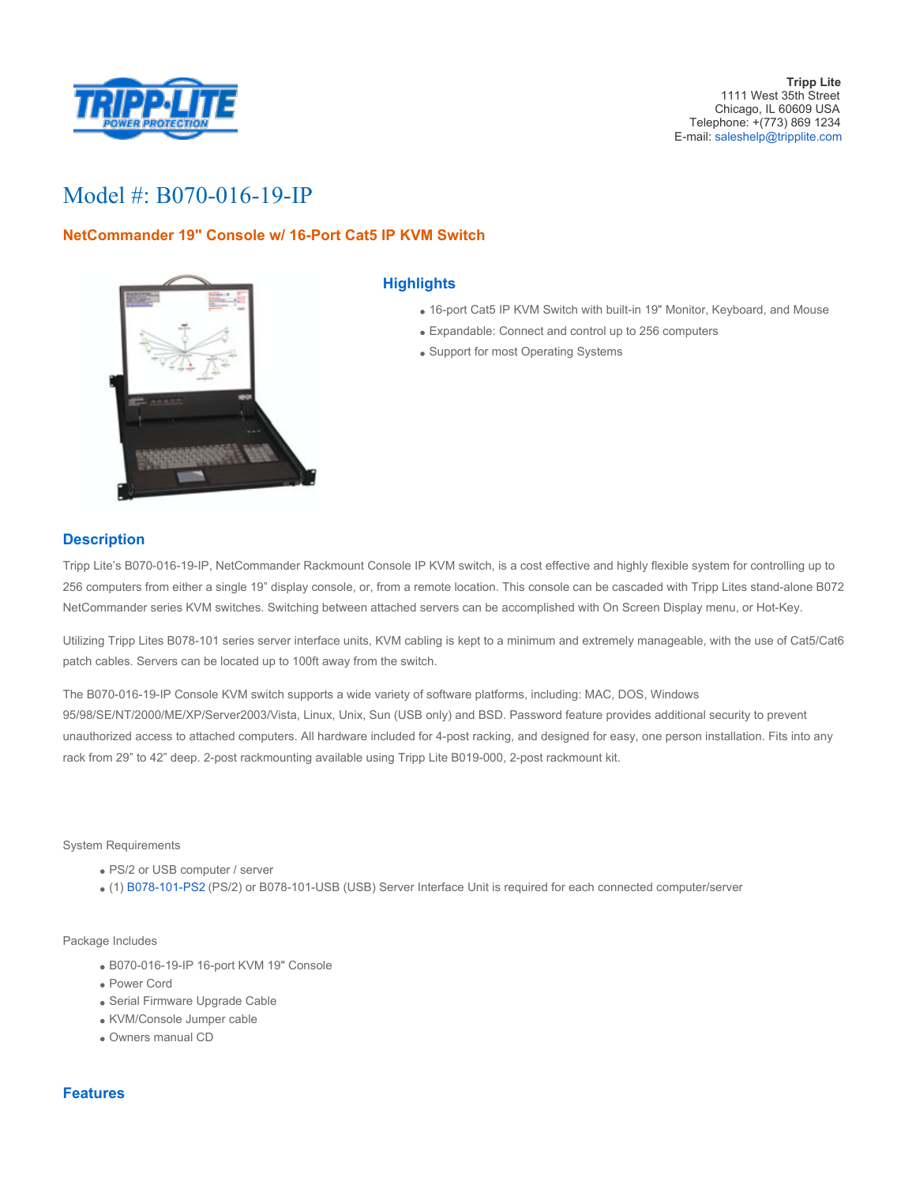

# Model #: B070-016-19-IP

# **NetCommander 19" Console w/ 16-Port Cat5 IP KVM Switch**



## **Highlights**

- 16-port Cat5 IP KVM Switch with built-in 19" Monitor, Keyboard, and Mouse
- Expandable: Connect and control up to 256 computers
- Support for most Operating Systems

## **Description**

Tripp Lite's B070-016-19-IP, NetCommander Rackmount Console IP KVM switch, is a cost effective and highly flexible system for controlling up to 256 computers from either a single 19" display console, or, from a remote location. This console can be cascaded with Tripp Lites stand-alone B072 NetCommander series KVM switches. Switching between attached servers can be accomplished with On Screen Display menu, or Hot-Key.

Utilizing Tripp Lites B078-101 series server interface units, KVM cabling is kept to a minimum and extremely manageable, with the use of Cat5/Cat6 patch cables. Servers can be located up to 100ft away from the switch.

The B070-016-19-IP Console KVM switch supports a wide variety of software platforms, including: MAC, DOS, Windows 95/98/SE/NT/2000/ME/XP/Server2003/Vista, Linux, Unix, Sun (USB only) and BSD. Password feature provides additional security to prevent unauthorized access to attached computers. All hardware included for 4-post racking, and designed for easy, one person installation. Fits into any rack from 29" to 42" deep. 2-post rackmounting available using Tripp Lite B019-000, 2-post rackmount kit.

#### System Requirements

- PS/2 or USB computer / server
- (1) [B078-101-PS2](http://www.tripplite.com/en/products/model.cfm?txtModelID=4330) (PS/2) or B078-101-USB (USB) Server Interface Unit is required for each connected computer/server

#### Package Includes

- B070-016-19-IP 16-port KVM 19" Console
- Power Cord
- Serial Firmware Upgrade Cable
- KVM/Console Jumper cable
- Owners manual CD

### **Features**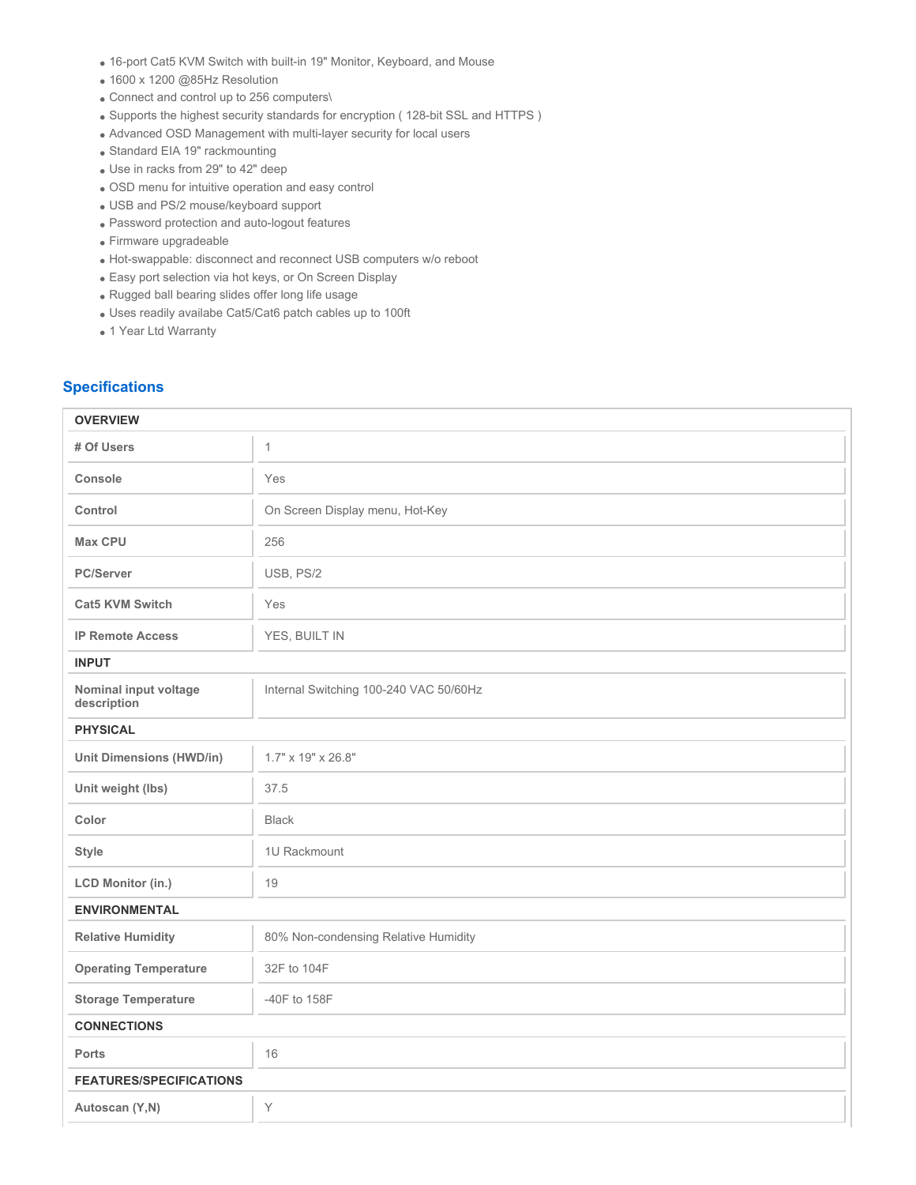- 16-port Cat5 KVM Switch with built-in 19" Monitor, Keyboard, and Mouse
- 1600 x 1200 @85Hz Resolution
- Connect and control up to 256 computers\
- Supports the highest security standards for encryption ( 128-bit SSL and HTTPS )
- Advanced OSD Management with multi-layer security for local users
- Standard EIA 19" rackmounting
- Use in racks from 29" to 42" deep
- OSD menu for intuitive operation and easy control
- USB and PS/2 mouse/keyboard support
- Password protection and auto-logout features
- Firmware upgradeable
- Hot-swappable: disconnect and reconnect USB computers w/o reboot
- Easy port selection via hot keys, or On Screen Display
- Rugged ball bearing slides offer long life usage
- Uses readily availabe Cat5/Cat6 patch cables up to 100ft
- 1 Year Ltd Warranty

## **Specifications**

| <b>OVERVIEW</b>                      |                                        |  |  |  |
|--------------------------------------|----------------------------------------|--|--|--|
| # Of Users                           | $\mathbf{1}$                           |  |  |  |
| Console                              | Yes                                    |  |  |  |
| Control                              | On Screen Display menu, Hot-Key        |  |  |  |
| <b>Max CPU</b>                       | 256                                    |  |  |  |
| <b>PC/Server</b>                     | USB, PS/2                              |  |  |  |
| <b>Cat5 KVM Switch</b>               | Yes                                    |  |  |  |
| <b>IP Remote Access</b>              | YES, BUILT IN                          |  |  |  |
| <b>INPUT</b>                         |                                        |  |  |  |
| Nominal input voltage<br>description | Internal Switching 100-240 VAC 50/60Hz |  |  |  |
| <b>PHYSICAL</b>                      |                                        |  |  |  |
| <b>Unit Dimensions (HWD/in)</b>      | 1.7" x 19" x 26.8"                     |  |  |  |
| Unit weight (lbs)                    | 37.5                                   |  |  |  |
| Color                                | <b>Black</b>                           |  |  |  |
| <b>Style</b>                         | 1U Rackmount                           |  |  |  |
| <b>LCD Monitor (in.)</b>             | 19                                     |  |  |  |
| <b>ENVIRONMENTAL</b>                 |                                        |  |  |  |
| <b>Relative Humidity</b>             | 80% Non-condensing Relative Humidity   |  |  |  |
| <b>Operating Temperature</b>         | 32F to 104F                            |  |  |  |
| <b>Storage Temperature</b>           | -40F to 158F                           |  |  |  |
| <b>CONNECTIONS</b>                   |                                        |  |  |  |
| <b>Ports</b>                         | 16                                     |  |  |  |
| <b>FEATURES/SPECIFICATIONS</b>       |                                        |  |  |  |
| Autoscan (Y,N)                       | Υ                                      |  |  |  |